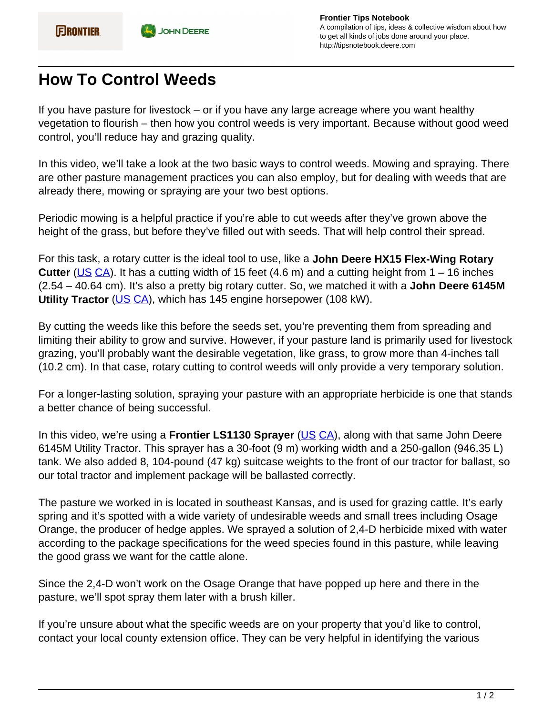## **How To Control Weeds**

If you have pasture for livestock – or if you have any large acreage where you want healthy vegetation to flourish – then how you control weeds is very important. Because without good weed control, you'll reduce hay and grazing quality.

In this video, we'll take a look at the two basic ways to control weeds. Mowing and spraying. There are other pasture management practices you can also employ, but for dealing with weeds that are already there, mowing or spraying are your two best options.

Periodic mowing is a helpful practice if you're able to cut weeds after they've grown above the height of the grass, but before they've filled out with seeds. That will help control their spread.

For this task, a rotary cutter is the ideal tool to use, like a **John Deere HX15 Flex-Wing Rotary Cutter** [\(US](https://www.deere.com/en/cutters-shredders/rotary-cutters/hx15-rotary-cutter/) [CA\)](https://www.deere.ca/en/cutters-shredders/rotary-cutters/hx15-rotary-cutter/). It has a cutting width of 15 feet (4.6 m) and a cutting height from 1 – 16 inches (2.54 – 40.64 cm). It's also a pretty big rotary cutter. So, we matched it with a **John Deere 6145M Utility Tractor** ([US](https://www.deere.com/en/tractors/row-crop-tractors/row-crop-6-family/6145m-tractor/) [CA\)](https://www.deere.ca/en/tractors/row-crop-tractors/row-crop-6-family/6145m-tractor/), which has 145 engine horsepower (108 kW).

By cutting the weeds like this before the seeds set, you're preventing them from spreading and limiting their ability to grow and survive. However, if your pasture land is primarily used for livestock grazing, you'll probably want the desirable vegetation, like grass, to grow more than 4-inches tall (10.2 cm). In that case, rotary cutting to control weeds will only provide a very temporary solution.

For a longer-lasting solution, spraying your pasture with an appropriate herbicide is one that stands a better chance of being successful.

In this video, we're using a **Frontier LS1130 Sprayer** [\(US](https://www.deere.com/en/attachments-accessories-and-implements/utility-tractors-attachments-accessories/landscape-equipment/) [CA\)](https://www.deere.ca/en/attachments-accessories-and-implements/utility-tractors-attachments-accessories/landscape-equipment/), along with that same John Deere 6145M Utility Tractor. This sprayer has a 30-foot (9 m) working width and a 250-gallon (946.35 L) tank. We also added 8, 104-pound (47 kg) suitcase weights to the front of our tractor for ballast, so our total tractor and implement package will be ballasted correctly.

The pasture we worked in is located in southeast Kansas, and is used for grazing cattle. It's early spring and it's spotted with a wide variety of undesirable weeds and small trees including Osage Orange, the producer of hedge apples. We sprayed a solution of 2,4-D herbicide mixed with water according to the package specifications for the weed species found in this pasture, while leaving the good grass we want for the cattle alone.

Since the 2,4-D won't work on the Osage Orange that have popped up here and there in the pasture, we'll spot spray them later with a brush killer.

If you're unsure about what the specific weeds are on your property that you'd like to control, contact your local county extension office. They can be very helpful in identifying the various